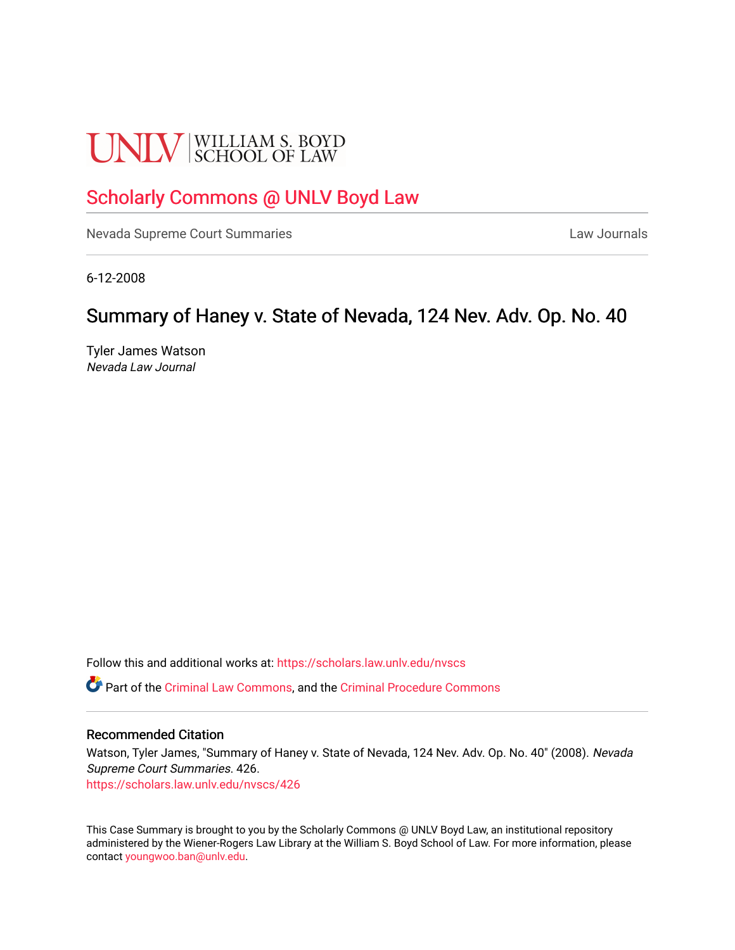# **UNLV** SCHOOL OF LAW

## [Scholarly Commons @ UNLV Boyd Law](https://scholars.law.unlv.edu/)

[Nevada Supreme Court Summaries](https://scholars.law.unlv.edu/nvscs) **Law Journals** Law Journals

6-12-2008

## Summary of Haney v. State of Nevada, 124 Nev. Adv. Op. No. 40

Tyler James Watson Nevada Law Journal

Follow this and additional works at: [https://scholars.law.unlv.edu/nvscs](https://scholars.law.unlv.edu/nvscs?utm_source=scholars.law.unlv.edu%2Fnvscs%2F426&utm_medium=PDF&utm_campaign=PDFCoverPages)

Part of the [Criminal Law Commons,](http://network.bepress.com/hgg/discipline/912?utm_source=scholars.law.unlv.edu%2Fnvscs%2F426&utm_medium=PDF&utm_campaign=PDFCoverPages) and the [Criminal Procedure Commons](http://network.bepress.com/hgg/discipline/1073?utm_source=scholars.law.unlv.edu%2Fnvscs%2F426&utm_medium=PDF&utm_campaign=PDFCoverPages)

#### Recommended Citation

Watson, Tyler James, "Summary of Haney v. State of Nevada, 124 Nev. Adv. Op. No. 40" (2008). Nevada Supreme Court Summaries. 426. [https://scholars.law.unlv.edu/nvscs/426](https://scholars.law.unlv.edu/nvscs/426?utm_source=scholars.law.unlv.edu%2Fnvscs%2F426&utm_medium=PDF&utm_campaign=PDFCoverPages)

This Case Summary is brought to you by the Scholarly Commons @ UNLV Boyd Law, an institutional repository administered by the Wiener-Rogers Law Library at the William S. Boyd School of Law. For more information, please contact [youngwoo.ban@unlv.edu](mailto:youngwoo.ban@unlv.edu).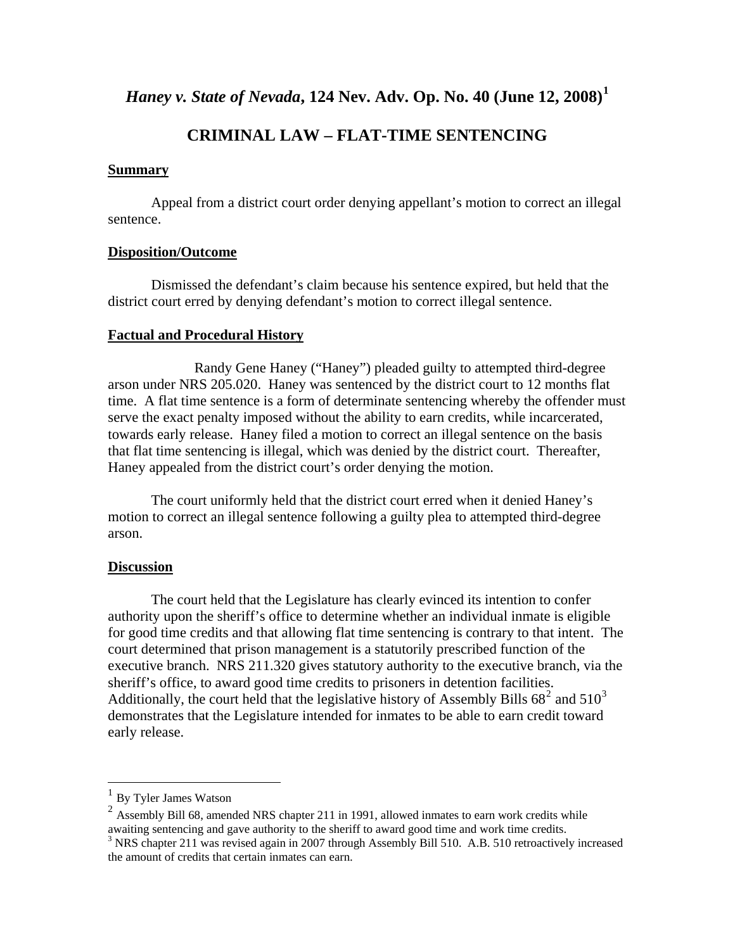*Haney v. State of Nevada***, 124 Nev. Adv. Op. No. 40 (June 12, 2008)[1](#page-1-0)**

### **CRIMINAL LAW – FLAT-TIME SENTENCING**

#### **Summary**

 Appeal from a district court order denying appellant's motion to correct an illegal sentence.

#### **Disposition/Outcome**

 Dismissed the defendant's claim because his sentence expired, but held that the district court erred by denying defendant's motion to correct illegal sentence.

#### **Factual and Procedural History**

 Randy Gene Haney ("Haney") pleaded guilty to attempted third-degree arson under NRS 205.020. Haney was sentenced by the district court to 12 months flat time. A flat time sentence is a form of determinate sentencing whereby the offender must serve the exact penalty imposed without the ability to earn credits, while incarcerated, towards early release. Haney filed a motion to correct an illegal sentence on the basis that flat time sentencing is illegal, which was denied by the district court. Thereafter, Haney appealed from the district court's order denying the motion.

The court uniformly held that the district court erred when it denied Haney's motion to correct an illegal sentence following a guilty plea to attempted third-degree arson.

#### **Discussion**

 The court held that the Legislature has clearly evinced its intention to confer authority upon the sheriff's office to determine whether an individual inmate is eligible for good time credits and that allowing flat time sentencing is contrary to that intent. The court determined that prison management is a statutorily prescribed function of the executive branch. NRS 211.320 gives statutory authority to the executive branch, via the sheriff's office, to award good time credits to prisoners in detention facilities. Additionally, the court held that the legislative history of Assembly Bills  $68<sup>2</sup>$  $68<sup>2</sup>$  $68<sup>2</sup>$  and  $510<sup>3</sup>$  $510<sup>3</sup>$  $510<sup>3</sup>$ demonstrates that the Legislature intended for inmates to be able to earn credit toward early release.

1

<span id="page-1-1"></span><span id="page-1-0"></span> $\frac{1}{2}$  By Tyler James Watson 2 Assembly Bill 68, amended NRS chapter 211 in 1991, allowed inmates to earn work credits while awaiting sentencing and gave authority to the sheriff to award good time and work time credits. 3

<span id="page-1-2"></span><sup>&</sup>lt;sup>3</sup> NRS chapter 211 was revised again in 2007 through Assembly Bill 510. A.B. 510 retroactively increased the amount of credits that certain inmates can earn.